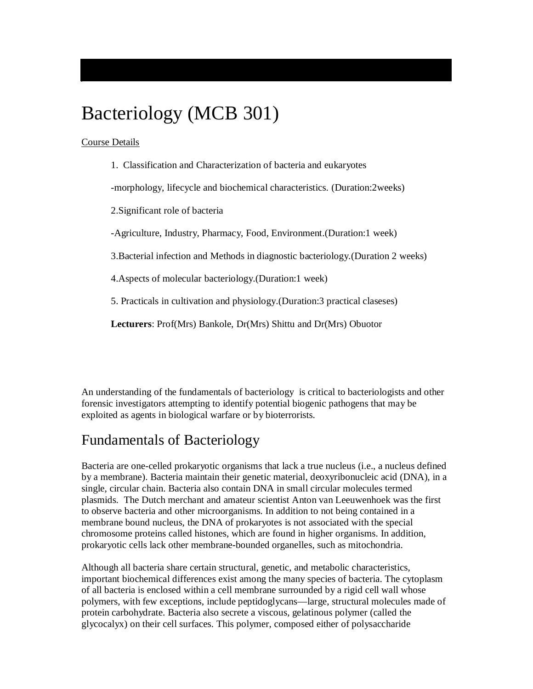# Bacteriology (MCB 301)

#### Course Details

1. Classification and Characterization of bacteria and eukaryotes

-morphology, lifecycle and biochemical characteristics. (Duration:2weeks)

2.Significant role of bacteria

-Agriculture, Industry, Pharmacy, Food, Environment.(Duration:1 week)

3.Bacterial infection and Methods in diagnostic bacteriology.(Duration 2 weeks)

4.Aspects of molecular bacteriology.(Duration:1 week)

5. Practicals in cultivation and physiology.(Duration:3 practical claseses)

**Lecturers**: Prof(Mrs) Bankole, Dr(Mrs) Shittu and Dr(Mrs) Obuotor

An understanding of the fundamentals of bacteriology is critical to bacteriologists and other forensic investigators attempting to identify potential biogenic pathogens that may be exploited as agents in biological warfare or by bioterrorists.

### Fundamentals of Bacteriology

Bacteria are one-celled prokaryotic organisms that lack a true nucleus (i.e., a nucleus defined by a membrane). Bacteria maintain their genetic material, deoxyribonucleic acid (DNA), in a single, circular chain. Bacteria also contain DNA in small circular molecules termed plasmids. The Dutch merchant and amateur scientist Anton van Leeuwenhoek was the first to observe bacteria and other microorganisms. In addition to not being contained in a membrane bound nucleus, the DNA of prokaryotes is not associated with the special chromosome proteins called histones, which are found in higher organisms. In addition, prokaryotic cells lack other membrane-bounded organelles, such as mitochondria.

Although all bacteria share certain structural, genetic, and metabolic characteristics, important biochemical differences exist among the many species of bacteria. The cytoplasm of all bacteria is enclosed within a cell membrane surrounded by a rigid cell wall whose polymers, with few exceptions, include peptidoglycans—large, structural molecules made of protein carbohydrate. Bacteria also secrete a viscous, gelatinous polymer (called the glycocalyx) on their cell surfaces. This polymer, composed either of polysaccharide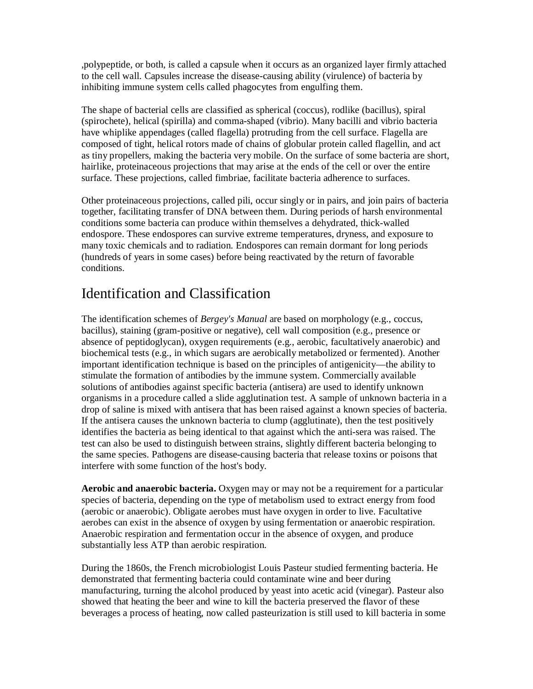,polypeptide, or both, is called a capsule when it occurs as an organized layer firmly attached to the cell wall. Capsules increase the disease-causing ability (virulence) of bacteria by inhibiting immune system cells called phagocytes from engulfing them.

The shape of bacterial cells are classified as spherical (coccus), rodlike (bacillus), spiral (spirochete), helical (spirilla) and comma-shaped (vibrio). Many bacilli and vibrio bacteria have whiplike appendages (called flagella) protruding from the cell surface. Flagella are composed of tight, helical rotors made of chains of globular protein called flagellin, and act as tiny propellers, making the bacteria very mobile. On the surface of some bacteria are short, hairlike, proteinaceous projections that may arise at the ends of the cell or over the entire surface. These projections, called fimbriae, facilitate bacteria adherence to surfaces.

Other proteinaceous projections, called pili, occur singly or in pairs, and join pairs of bacteria together, facilitating transfer of DNA between them. During periods of harsh environmental conditions some bacteria can produce within themselves a dehydrated, thick-walled endospore. These endospores can survive extreme temperatures, dryness, and exposure to many toxic chemicals and to radiation. Endospores can remain dormant for long periods (hundreds of years in some cases) before being reactivated by the return of favorable conditions.

# Identification and Classification

The identification schemes of *Bergey's Manual* are based on morphology (e.g., coccus, bacillus), staining (gram-positive or negative), cell wall composition (e.g., presence or absence of peptidoglycan), oxygen requirements (e.g., aerobic, facultatively anaerobic) and biochemical tests (e.g., in which sugars are aerobically metabolized or fermented). Another important identification technique is based on the principles of antigenicity—the ability to stimulate the formation of antibodies by the immune system. Commercially available solutions of antibodies against specific bacteria (antisera) are used to identify unknown organisms in a procedure called a slide agglutination test. A sample of unknown bacteria in a drop of saline is mixed with antisera that has been raised against a known species of bacteria. If the antisera causes the unknown bacteria to clump (agglutinate), then the test positively identifies the bacteria as being identical to that against which the anti-sera was raised. The test can also be used to distinguish between strains, slightly different bacteria belonging to the same species. Pathogens are disease-causing bacteria that release toxins or poisons that interfere with some function of the host's body.

**Aerobic and anaerobic bacteria.** Oxygen may or may not be a requirement for a particular species of bacteria, depending on the type of metabolism used to extract energy from food (aerobic or anaerobic). Obligate aerobes must have oxygen in order to live. Facultative aerobes can exist in the absence of oxygen by using fermentation or anaerobic respiration. Anaerobic respiration and fermentation occur in the absence of oxygen, and produce substantially less ATP than aerobic respiration.

During the 1860s, the French microbiologist Louis Pasteur studied fermenting bacteria. He demonstrated that fermenting bacteria could contaminate wine and beer during manufacturing, turning the alcohol produced by yeast into acetic acid (vinegar). Pasteur also showed that heating the beer and wine to kill the bacteria preserved the flavor of these beverages a process of heating, now called pasteurization is still used to kill bacteria in some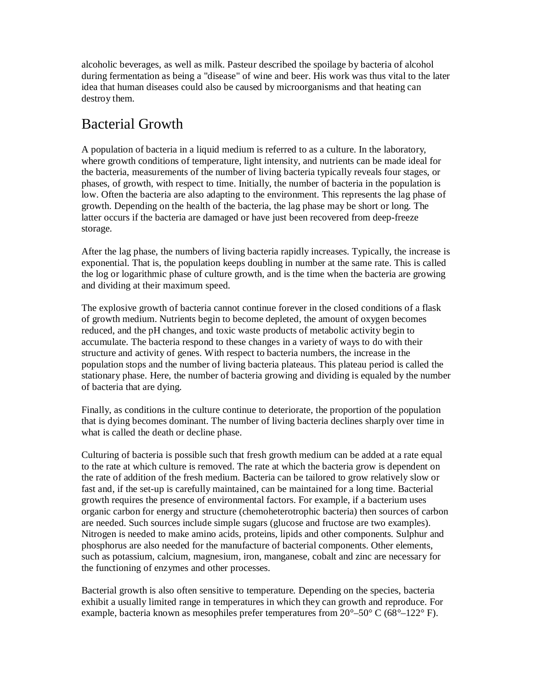alcoholic beverages, as well as milk. Pasteur described the spoilage by bacteria of alcohol during fermentation as being a "disease" of wine and beer. His work was thus vital to the later idea that human diseases could also be caused by microorganisms and that heating can destroy them.

# Bacterial Growth

A population of bacteria in a liquid medium is referred to as a culture. In the laboratory, where growth conditions of temperature, light intensity, and nutrients can be made ideal for the bacteria, measurements of the number of living bacteria typically reveals four stages, or phases, of growth, with respect to time. Initially, the number of bacteria in the population is low. Often the bacteria are also adapting to the environment. This represents the lag phase of growth. Depending on the health of the bacteria, the lag phase may be short or long. The latter occurs if the bacteria are damaged or have just been recovered from deep-freeze storage.

After the lag phase, the numbers of living bacteria rapidly increases. Typically, the increase is exponential. That is, the population keeps doubling in number at the same rate. This is called the log or logarithmic phase of culture growth, and is the time when the bacteria are growing and dividing at their maximum speed.

The explosive growth of bacteria cannot continue forever in the closed conditions of a flask of growth medium. Nutrients begin to become depleted, the amount of oxygen becomes reduced, and the pH changes, and toxic waste products of metabolic activity begin to accumulate. The bacteria respond to these changes in a variety of ways to do with their structure and activity of genes. With respect to bacteria numbers, the increase in the population stops and the number of living bacteria plateaus. This plateau period is called the stationary phase. Here, the number of bacteria growing and dividing is equaled by the number of bacteria that are dying.

Finally, as conditions in the culture continue to deteriorate, the proportion of the population that is dying becomes dominant. The number of living bacteria declines sharply over time in what is called the death or decline phase.

Culturing of bacteria is possible such that fresh growth medium can be added at a rate equal to the rate at which culture is removed. The rate at which the bacteria grow is dependent on the rate of addition of the fresh medium. Bacteria can be tailored to grow relatively slow or fast and, if the set-up is carefully maintained, can be maintained for a long time. Bacterial growth requires the presence of environmental factors. For example, if a bacterium uses organic carbon for energy and structure (chemoheterotrophic bacteria) then sources of carbon are needed. Such sources include simple sugars (glucose and fructose are two examples). Nitrogen is needed to make amino acids, proteins, lipids and other components. Sulphur and phosphorus are also needed for the manufacture of bacterial components. Other elements, such as potassium, calcium, magnesium, iron, manganese, cobalt and zinc are necessary for the functioning of enzymes and other processes.

Bacterial growth is also often sensitive to temperature. Depending on the species, bacteria exhibit a usually limited range in temperatures in which they can growth and reproduce. For example, bacteria known as mesophiles prefer temperatures from  $20^{\circ} - 50^{\circ}$  C (68<sup>o</sup>-122<sup>o</sup> F).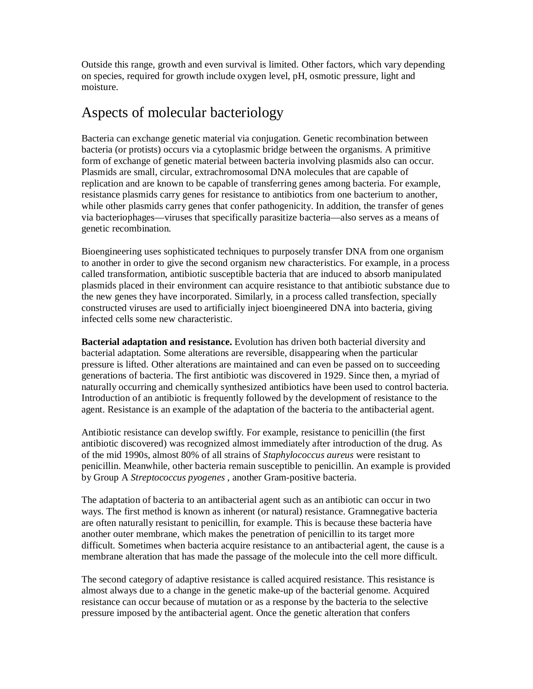Outside this range, growth and even survival is limited. Other factors, which vary depending on species, required for growth include oxygen level, pH, osmotic pressure, light and moisture.

#### Aspects of molecular bacteriology

Bacteria can exchange genetic material via conjugation. Genetic recombination between bacteria (or protists) occurs via a cytoplasmic bridge between the organisms. A primitive form of exchange of genetic material between bacteria involving plasmids also can occur. Plasmids are small, circular, extrachromosomal DNA molecules that are capable of replication and are known to be capable of transferring genes among bacteria. For example, resistance plasmids carry genes for resistance to antibiotics from one bacterium to another, while other plasmids carry genes that confer pathogenicity. In addition, the transfer of genes via bacteriophages—viruses that specifically parasitize bacteria—also serves as a means of genetic recombination.

Bioengineering uses sophisticated techniques to purposely transfer DNA from one organism to another in order to give the second organism new characteristics. For example, in a process called transformation, antibiotic susceptible bacteria that are induced to absorb manipulated plasmids placed in their environment can acquire resistance to that antibiotic substance due to the new genes they have incorporated. Similarly, in a process called transfection, specially constructed viruses are used to artificially inject bioengineered DNA into bacteria, giving infected cells some new characteristic.

**Bacterial adaptation and resistance.** Evolution has driven both bacterial diversity and bacterial adaptation. Some alterations are reversible, disappearing when the particular pressure is lifted. Other alterations are maintained and can even be passed on to succeeding generations of bacteria. The first antibiotic was discovered in 1929. Since then, a myriad of naturally occurring and chemically synthesized antibiotics have been used to control bacteria. Introduction of an antibiotic is frequently followed by the development of resistance to the agent. Resistance is an example of the adaptation of the bacteria to the antibacterial agent.

Antibiotic resistance can develop swiftly. For example, resistance to penicillin (the first antibiotic discovered) was recognized almost immediately after introduction of the drug. As of the mid 1990s, almost 80% of all strains of *Staphylococcus aureus* were resistant to penicillin. Meanwhile, other bacteria remain susceptible to penicillin. An example is provided by Group A *Streptococcus pyogenes* , another Gram-positive bacteria.

The adaptation of bacteria to an antibacterial agent such as an antibiotic can occur in two ways. The first method is known as inherent (or natural) resistance. Gramnegative bacteria are often naturally resistant to penicillin, for example. This is because these bacteria have another outer membrane, which makes the penetration of penicillin to its target more difficult. Sometimes when bacteria acquire resistance to an antibacterial agent, the cause is a membrane alteration that has made the passage of the molecule into the cell more difficult.

The second category of adaptive resistance is called acquired resistance. This resistance is almost always due to a change in the genetic make-up of the bacterial genome. Acquired resistance can occur because of mutation or as a response by the bacteria to the selective pressure imposed by the antibacterial agent. Once the genetic alteration that confers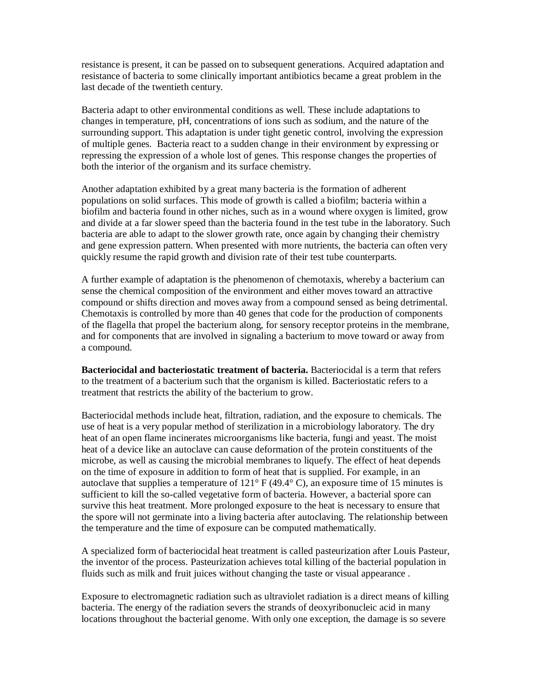resistance is present, it can be passed on to subsequent generations. Acquired adaptation and resistance of bacteria to some clinically important antibiotics became a great problem in the last decade of the twentieth century.

Bacteria adapt to other environmental conditions as well. These include adaptations to changes in temperature, pH, concentrations of ions such as sodium, and the nature of the surrounding support. This adaptation is under tight genetic control, involving the expression of multiple genes. Bacteria react to a sudden change in their environment by expressing or repressing the expression of a whole lost of genes. This response changes the properties of both the interior of the organism and its surface chemistry.

Another adaptation exhibited by a great many bacteria is the formation of adherent populations on solid surfaces. This mode of growth is called a biofilm; bacteria within a biofilm and bacteria found in other niches, such as in a wound where oxygen is limited, grow and divide at a far slower speed than the bacteria found in the test tube in the laboratory. Such bacteria are able to adapt to the slower growth rate, once again by changing their chemistry and gene expression pattern. When presented with more nutrients, the bacteria can often very quickly resume the rapid growth and division rate of their test tube counterparts.

A further example of adaptation is the phenomenon of chemotaxis, whereby a bacterium can sense the chemical composition of the environment and either moves toward an attractive compound or shifts direction and moves away from a compound sensed as being detrimental. Chemotaxis is controlled by more than 40 genes that code for the production of components of the flagella that propel the bacterium along, for sensory receptor proteins in the membrane, and for components that are involved in signaling a bacterium to move toward or away from a compound.

**Bacteriocidal and bacteriostatic treatment of bacteria.** Bacteriocidal is a term that refers to the treatment of a bacterium such that the organism is killed. Bacteriostatic refers to a treatment that restricts the ability of the bacterium to grow.

Bacteriocidal methods include heat, filtration, radiation, and the exposure to chemicals. The use of heat is a very popular method of sterilization in a microbiology laboratory. The dry heat of an open flame incinerates microorganisms like bacteria, fungi and yeast. The moist heat of a device like an autoclave can cause deformation of the protein constituents of the microbe, as well as causing the microbial membranes to liquefy. The effect of heat depends on the time of exposure in addition to form of heat that is supplied. For example, in an autoclave that supplies a temperature of  $121^\circ$  F (49.4 $^\circ$  C), an exposure time of 15 minutes is sufficient to kill the so-called vegetative form of bacteria. However, a bacterial spore can survive this heat treatment. More prolonged exposure to the heat is necessary to ensure that the spore will not germinate into a living bacteria after autoclaving. The relationship between the temperature and the time of exposure can be computed mathematically.

A specialized form of bacteriocidal heat treatment is called pasteurization after Louis Pasteur, the inventor of the process. Pasteurization achieves total killing of the bacterial population in fluids such as milk and fruit juices without changing the taste or visual appearance .

Exposure to electromagnetic radiation such as ultraviolet radiation is a direct means of killing bacteria. The energy of the radiation severs the strands of deoxyribonucleic acid in many locations throughout the bacterial genome. With only one exception, the damage is so severe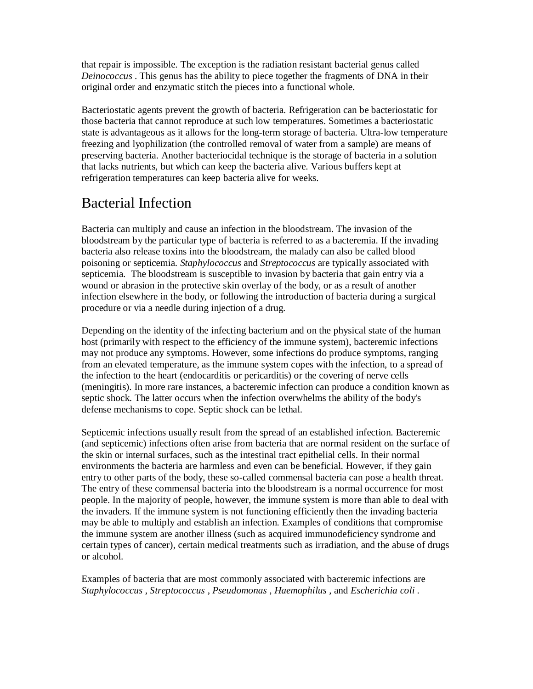that repair is impossible. The exception is the radiation resistant bacterial genus called *Deinococcus* . This genus has the ability to piece together the fragments of DNA in their original order and enzymatic stitch the pieces into a functional whole.

Bacteriostatic agents prevent the growth of bacteria. Refrigeration can be bacteriostatic for those bacteria that cannot reproduce at such low temperatures. Sometimes a bacteriostatic state is advantageous as it allows for the long-term storage of bacteria. Ultra-low temperature freezing and lyophilization (the controlled removal of water from a sample) are means of preserving bacteria. Another bacteriocidal technique is the storage of bacteria in a solution that lacks nutrients, but which can keep the bacteria alive. Various buffers kept at refrigeration temperatures can keep bacteria alive for weeks.

### Bacterial Infection

Bacteria can multiply and cause an infection in the bloodstream. The invasion of the bloodstream by the particular type of bacteria is referred to as a bacteremia. If the invading bacteria also release toxins into the bloodstream, the malady can also be called blood poisoning or septicemia. *Staphylococcus* and *Streptococcus* are typically associated with septicemia. The bloodstream is susceptible to invasion by bacteria that gain entry via a wound or abrasion in the protective skin overlay of the body, or as a result of another infection elsewhere in the body, or following the introduction of bacteria during a surgical procedure or via a needle during injection of a drug.

Depending on the identity of the infecting bacterium and on the physical state of the human host (primarily with respect to the efficiency of the immune system), bacteremic infections may not produce any symptoms. However, some infections do produce symptoms, ranging from an elevated temperature, as the immune system copes with the infection, to a spread of the infection to the heart (endocarditis or pericarditis) or the covering of nerve cells (meningitis). In more rare instances, a bacteremic infection can produce a condition known as septic shock. The latter occurs when the infection overwhelms the ability of the body's defense mechanisms to cope. Septic shock can be lethal.

Septicemic infections usually result from the spread of an established infection. Bacteremic (and septicemic) infections often arise from bacteria that are normal resident on the surface of the skin or internal surfaces, such as the intestinal tract epithelial cells. In their normal environments the bacteria are harmless and even can be beneficial. However, if they gain entry to other parts of the body, these so-called commensal bacteria can pose a health threat. The entry of these commensal bacteria into the bloodstream is a normal occurrence for most people. In the majority of people, however, the immune system is more than able to deal with the invaders. If the immune system is not functioning efficiently then the invading bacteria may be able to multiply and establish an infection. Examples of conditions that compromise the immune system are another illness (such as acquired immunodeficiency syndrome and certain types of cancer), certain medical treatments such as irradiation, and the abuse of drugs or alcohol.

Examples of bacteria that are most commonly associated with bacteremic infections are *Staphylococcus* , *Streptococcus* , *Pseudomonas* , *Haemophilus* , and *Escherichia coli* .